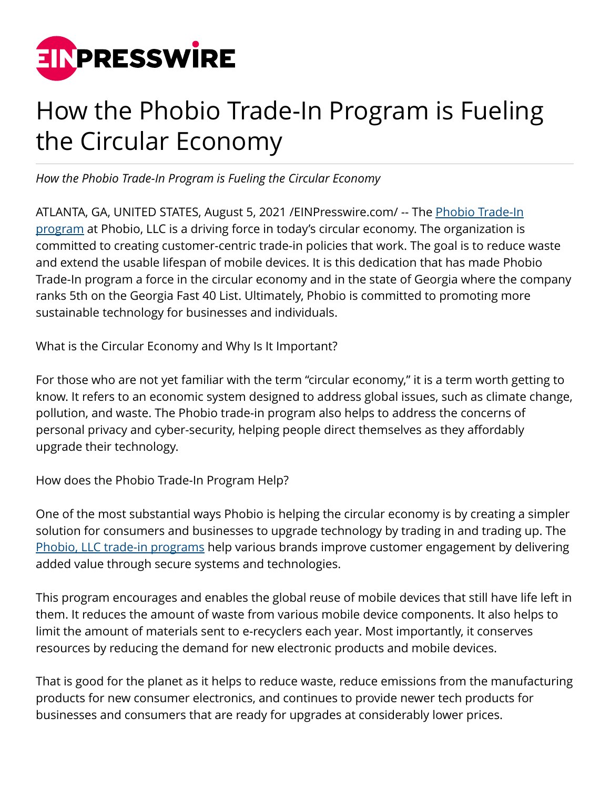

## How the Phobio Trade-In Program is Fueling the Circular Economy

*How the Phobio Trade-In Program is Fueling the Circular Economy*

ATLANTA, GA, UNITED STATES, August 5, 2021 / EINPresswire.com/ -- The **Phobio Trade-In** [program](https://www.accesswire.com/641442/Phobio-LLC-Tech-Trade-In-Programs-Keeps-Consumers-Businesses-Plugged) at Phobio, LLC is a driving force in today's circular economy. The organization is committed to creating customer-centric trade-in policies that work. The goal is to reduce waste and extend the usable lifespan of mobile devices. It is this dedication that has made Phobio Trade-In program a force in the circular economy and in the state of Georgia where the company ranks 5th on the Georgia Fast 40 List. Ultimately, Phobio is committed to promoting more sustainable technology for businesses and individuals.

What is the Circular Economy and Why Is It Important?

For those who are not yet familiar with the term "circular economy," it is a term worth getting to know. It refers to an economic system designed to address global issues, such as climate change, pollution, and waste. The Phobio trade-in program also helps to address the concerns of personal privacy and cyber-security, helping people direct themselves as they affordably upgrade their technology.

How does the Phobio Trade-In Program Help?

One of the most substantial ways Phobio is helping the circular economy is by creating a simpler solution for consumers and businesses to upgrade technology by trading in and trading up. The [Phobio, LLC trade-in programs](https://twitter.com/phobiosupport) help various brands improve customer engagement by delivering added value through secure systems and technologies.

This program encourages and enables the global reuse of mobile devices that still have life left in them. It reduces the amount of waste from various mobile device components. It also helps to limit the amount of materials sent to e-recyclers each year. Most importantly, it conserves resources by reducing the demand for new electronic products and mobile devices.

That is good for the planet as it helps to reduce waste, reduce emissions from the manufacturing products for new consumer electronics, and continues to provide newer tech products for businesses and consumers that are ready for upgrades at considerably lower prices.